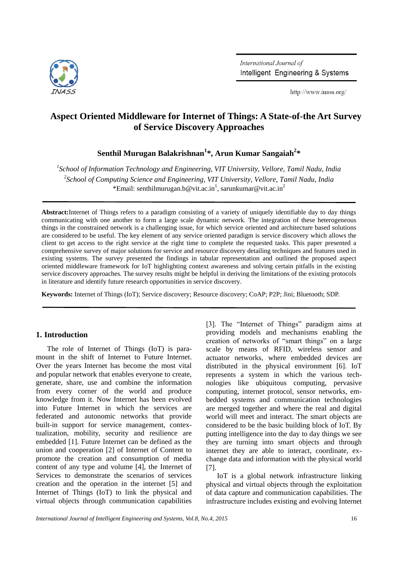

International Journal of Intelligent Engineering & Systems

http://www.inass.org/

# **Aspect Oriented Middleware for Internet of Things: A State-of-the Art Survey of Service Discovery Approaches**

**Senthil Murugan Balakrishnan<sup>1</sup> \*, Arun Kumar Sangaiah<sup>2</sup> \***

*1 School of Information Technology and Engineering, VIT University, Vellore, Tamil Nadu, India 2 School of Computing Science and Engineering, VIT University, Vellore, Tamil Nadu, India* \*Email: senthilmurugan.b@vit.ac.in<sup>1</sup>, sarunkumar@vit.ac.in<sup>2</sup>

**Abstract:**Internet of Things refers to a paradigm consisting of a variety of uniquely identifiable day to day things communicating with one another to form a large scale dynamic network. The integration of these heterogeneous things in the constrained network is a challenging issue, for which service oriented and architecture based solutions are considered to be useful. The key element of any service oriented paradigm is service discovery which allows the client to get access to the right service at the right time to complete the requested tasks. This paper presented a comprehensive survey of major solutions for service and resource discovery detailing techniques and features used in existing systems. The survey presented the findings in tabular representation and outlined the proposed aspect oriented middleware framework for IoT highlighting context awareness and solving certain pitfalls in the existing service discovery approaches. The survey results might be helpful in deriving the limitations of the existing protocols in literature and identify future research opportunities in service discovery.

**Keywords:** Internet of Things (IoT); Service discovery; Resource discovery; CoAP; P2P; Jini; Bluetooth; SDP.

## **1. Introduction**

The role of Internet of Things (IoT) is paramount in the shift of Internet to Future Internet. Over the years Internet has become the most vital and popular network that enables everyone to create, generate, share, use and combine the information from every corner of the world and produce knowledge from it. Now Internet has been evolved into Future Internet in which the services are federated and autonomic networks that provide built-in support for service management, contextualization, mobility, security and resilience are embedded [1]. Future Internet can be defined as the union and cooperation [2] of Internet of Content to promote the creation and consumption of media content of any type and volume [4], the Internet of Services to demonstrate the scenarios of services creation and the operation in the internet [5] and Internet of Things (IoT) to link the physical and virtual objects through communication capabilities

[3]. The "Internet of Things" paradigm aims at providing models and mechanisms enabling the creation of networks of "smart things" on a large scale by means of RFID, wireless sensor and actuator networks, where embedded devices are distributed in the physical environment [6]. IoT represents a system in which the various technologies like ubiquitous computing, pervasive computing, internet protocol, sensor networks, embedded systems and communication technologies are merged together and where the real and digital world will meet and interact. The smart objects are considered to be the basic building block of IoT. By putting intelligence into the day to day things we see they are turning into smart objects and through internet they are able to interact, coordinate, exchange data and information with the physical world [7].

IoT is a global network infrastructure linking physical and virtual objects through the exploitation of data capture and communication capabilities. The infrastructure includes existing and evolving Internet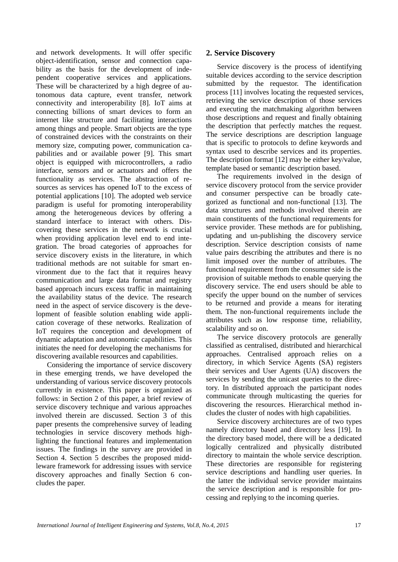and network developments. It will offer specific object-identification, sensor and connection capability as the basis for the development of independent cooperative services and applications. These will be characterized by a high degree of autonomous data capture, event transfer, network connectivity and interoperability [8]. IoT aims at connecting billions of smart devices to form an internet like structure and facilitating interactions among things and people. Smart objects are the type of constrained devices with the constraints on their memory size, computing power, communication capabilities and or available power [9]. This smart object is equipped with microcontrollers, a radio interface, sensors and or actuators and offers the functionality as services. The abstraction of resources as services has opened IoT to the excess of potential applications [10]. The adopted web service paradigm is useful for promoting interoperability among the heterogeneous devices by offering a standard interface to interact with others. Discovering these services in the network is crucial when providing application level end to end integration. The broad categories of approaches for service discovery exists in the literature, in which traditional methods are not suitable for smart environment due to the fact that it requires heavy communication and large data format and registry based approach incurs excess traffic in maintaining the availability status of the device. The research need in the aspect of service discovery is the development of feasible solution enabling wide application coverage of these networks. Realization of IoT requires the conception and development of dynamic adaptation and autonomic capabilities. This initiates the need for developing the mechanisms for discovering available resources and capabilities.

Considering the importance of service discovery in these emerging trends, we have developed the understanding of various service discovery protocols currently in existence. This paper is organized as follows: in Section 2 of this paper, a brief review of service discovery technique and various approaches involved therein are discussed. Section 3 of this paper presents the comprehensive survey of leading technologies in service discovery methods highlighting the functional features and implementation issues. The findings in the survey are provided in Section 4. Section 5 describes the proposed middleware framework for addressing issues with service discovery approaches and finally Section 6 concludes the paper.

## **2. Service Discovery**

Service discovery is the process of identifying suitable devices according to the service description submitted by the requestor. The identification process [11] involves locating the requested services, retrieving the service description of those services and executing the matchmaking algorithm between those descriptions and request and finally obtaining the description that perfectly matches the request. The service descriptions are description language that is specific to protocols to define keywords and syntax used to describe services and its properties. The description format [12] may be either key/value, template based or semantic description based.

The requirements involved in the design of service discovery protocol from the service provider and consumer perspective can be broadly categorized as functional and non-functional [13]. The data structures and methods involved therein are main constituents of the functional requirements for service provider. These methods are for publishing, updating and un-publishing the discovery service description. Service description consists of name value pairs describing the attributes and there is no limit imposed over the number of attributes. The functional requirement from the consumer side is the provision of suitable methods to enable querying the discovery service. The end users should be able to specify the upper bound on the number of services to be returned and provide a means for iterating them. The non-functional requirements include the attributes such as low response time, reliability, scalability and so on.

The service discovery protocols are generally classified as centralised, distributed and hierarchical approaches. Centralised approach relies on a directory, in which Service Agents (SA) registers their services and User Agents (UA) discovers the services by sending the unicast queries to the directory. In distributed approach the participant nodes communicate through multicasting the queries for discovering the resources. Hierarchical method includes the cluster of nodes with high capabilities.

Service discovery architectures are of two types namely directory based and directory less [19]. In the directory based model, there will be a dedicated logically centralized and physically distributed directory to maintain the whole service description. These directories are responsible for registering service descriptions and handling user queries. In the latter the individual service provider maintains the service description and is responsible for processing and replying to the incoming queries.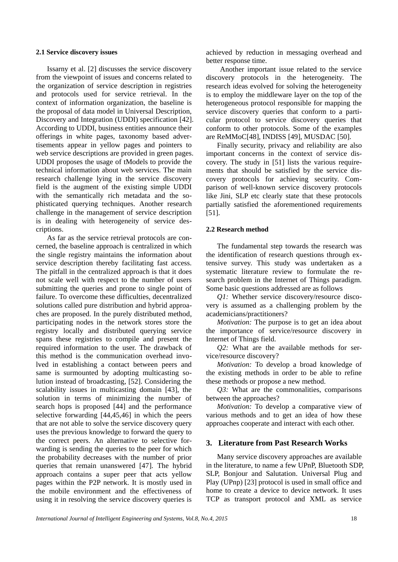#### **2.1 Service discovery issues**

Issarny et al. [2] discusses the service discovery from the viewpoint of issues and concerns related to the organization of service description in registries and protocols used for service retrieval. In the context of information organization, the baseline is the proposal of data model in Universal Description, Discovery and Integration (UDDI) specification [42]. According to UDDI, business entities announce their offerings in white pages, taxonomy based advertisements appear in yellow pages and pointers to web service descriptions are provided in green pages. UDDI proposes the usage of tModels to provide the technical information about web services. The main research challenge lying in the service discovery field is the augment of the existing simple UDDI with the semantically rich metadata and the sophisticated querying techniques. Another research challenge in the management of service description is in dealing with heterogeneity of service descriptions.

As far as the service retrieval protocols are concerned, the baseline approach is centralized in which the single registry maintains the information about service description thereby facilitating fast access. The pitfall in the centralized approach is that it does not scale well with respect to the number of users submitting the queries and prone to single point of failure. To overcome these difficulties, decentralized solutions called pure distribution and hybrid approaches are proposed. In the purely distributed method, participating nodes in the network stores store the registry locally and distributed querying service spans these registries to compile and present the required information to the user. The drawback of this method is the communication overhead involved in establishing a contact between peers and same is surmounted by adopting multicasting solution instead of broadcasting, [52]. Considering the scalability issues in multicasting domain [43], the solution in terms of minimizing the number of search hops is proposed [44] and the performance selective forwarding [44,45,46] in which the peers that are not able to solve the service discovery query uses the previous knowledge to forward the query to the correct peers. An alternative to selective forwarding is sending the queries to the peer for which the probability decreases with the number of prior queries that remain unanswered [47]. The hybrid approach contains a super peer that acts yellow pages within the P2P network. It is mostly used in the mobile environment and the effectiveness of using it in resolving the service discovery queries is

achieved by reduction in messaging overhead and better response time.

Another important issue related to the service discovery protocols in the heterogeneity. The research ideas evolved for solving the heterogeneity is to employ the middleware layer on the top of the heterogeneous protocol responsible for mapping the service discovery queries that conform to a particular protocol to service discovery queries that conform to other protocols. Some of the examples are ReMMoC[48], INDISS [49], MUSDAC [50].

Finally security, privacy and reliability are also important concerns in the context of service discovery. The study in [51] lists the various requirements that should be satisfied by the service discovery protocols for achieving security. Comparison of well-known service discovery protocols like Jini, SLP etc clearly state that these protocols partially satisfied the aforementioned requirements [51].

#### **2.2 Research method**

The fundamental step towards the research was the identification of research questions through extensive survey. This study was undertaken as a systematic literature review to formulate the research problem in the Internet of Things paradigm. Some basic questions addressed are as follows

*Q1:* Whether service discovery/resource discovery is assumed as a challenging problem by the academicians/practitioners?

*Motivation:* The purpose is to get an idea about the importance of service/resource discovery in Internet of Things field.

*Q2:* What are the available methods for service/resource discovery?

*Motivation:* To develop a broad knowledge of the existing methods in order to be able to refine these methods or propose a new method.

*Q3:* What are the commonalities, comparisons between the approaches?

*Motivation:* To develop a comparative view of various methods and to get an idea of how these approaches cooperate and interact with each other.

## **3. Literature from Past Research Works**

Many service discovery approaches are available in the literature, to name a few UPnP, Bluetooth SDP, SLP, Bonjour and Salutation. Universal Plug and Play (UPnp) [23] protocol is used in small office and home to create a device to device network. It uses TCP as transport protocol and XML as service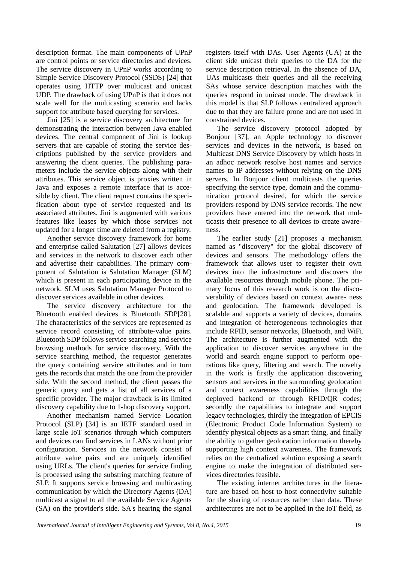description format. The main components of UPnP are control points or service directories and devices. The service discovery in UPnP works according to Simple Service Discovery Protocol (SSDS) [24] that operates using HTTP over multicast and unicast UDP. The drawback of using UPnP is that it does not scale well for the multicasting scenario and lacks support for attribute based querying for services.

Jini [25] is a service discovery architecture for demonstrating the interaction between Java enabled devices. The central component of Jini is lookup servers that are capable of storing the service descriptions published by the service providers and answering the client queries. The publishing parameters include the service objects along with their attributes. This service object is proxies written in Java and exposes a remote interface that is accesible by client. The client request contains the specification about type of service requested and its associated attributes. Jini is augmented with various features like leases by which those services not updated for a longer time are deleted from a registry.

Another service discovery framework for home and enterprise called Salutation [27] allows devices and services in the network to discover each other and advertise their capabilities. The primary component of Salutation is Salutation Manager (SLM) which is present in each participating device in the network. SLM uses Salutation Manager Protocol to discover services available in other devices.

The service discovery architecture for the Bluetooth enabled devices is Bluetooth SDP[28]. The characteristics of the services are represented as service record consisting of attribute-value pairs. Bluetooth SDP follows service searching and service browsing methods for service discovery. With the service searching method, the requestor generates the query containing service attributes and in turn gets the records that match the one from the provider side. With the second method, the client passes the generic query and gets a list of all services of a specific provider. The major drawback is its limited discovery capability due to 1-hop discovery support.

Another mechanism named Service Location Protocol (SLP) [34] is an IETF standard used in large scale IoT scenarios through which computers and devices can find services in LANs without prior configuration. Services in the network consist of attribute value pairs and are uniquely identified using URLs. The client's queries for service finding is processed using the substring matching feature of SLP. It supports service browsing and multicasting communication by which the Directory Agents (DA) multicast a signal to all the available Service Agents (SA) on the provider's side. SA's hearing the signal registers itself with DAs. User Agents (UA) at the client side unicast their queries to the DA for the service description retrieval. In the absence of DA, UAs multicasts their queries and all the receiving SAs whose service description matches with the queries respond in unicast mode. The drawback in this model is that SLP follows centralized approach due to that they are failure prone and are not used in constrained devices.

The service discovery protocol adopted by Bonjour [37], an Apple technology to discover services and devices in the network, is based on Multicast DNS Service Discovery by which hosts in an adhoc network resolve host names and service names to IP addresses without relying on the DNS servers. In Bonjour client multicasts the queries specifying the service type, domain and the communication protocol desired, for which the service providers respond by DNS service records. The new providers have entered into the network that multicasts their presence to all devices to create awareness.

The earlier study [21] proposes a mechanism named as "discovery" for the global discovery of devices and sensors. The methodology offers the framework that allows user to register their own devices into the infrastructure and discovers the available resources through mobile phone. The primary focus of this research work is on the discoverability of devices based on context aware- ness and geolocation. The framework developed is scalable and supports a variety of devices, domains and integration of heterogeneous technologies that include RFID, sensor networks, Bluetooth, and WiFi. The architecture is further augmented with the application to discover services anywhere in the world and search engine support to perform operations like query, filtering and search. The novelty in the work is firstly the application discovering sensors and services in the surrounding geolocation and context awareness capabilities through the deployed backend or through RFID/QR codes; secondly the capabilities to integrate and support legacy technologies, thirdly the integration of EPCIS (Electronic Product Code Information System) to identify physical objects as a smart thing, and finally the ability to gather geolocation information thereby supporting high context awareness. The framework relies on the centralized solution exposing a search engine to make the integration of distributed services directories feasible.

The existing internet architectures in the literature are based on host to host connectivity suitable for the sharing of resources rather than data. These architectures are not to be applied in the IoT field, as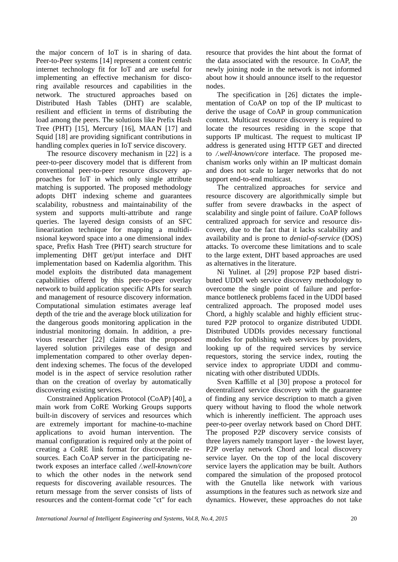the major concern of IoT is in sharing of data. Peer-to-Peer systems [14] represent a content centric internet technology fit for IoT and are useful for implementing an effective mechanism for discoring available resources and capabilities in the network. The structured approaches based on Distributed Hash Tables (DHT) are scalable, resilient and efficient in terms of distributing the load among the peers. The solutions like Prefix Hash Tree (PHT) [15], Mercury [16], MAAN [17] and Squid [18] are providing significant contributions in handling complex queries in IoT service discovery.

The resource discovery mechanism in [22] is a peer-to-peer discovery model that is different from conventional peer-to-peer resource discovery approaches for IoT in which only single attribute matching is supported. The proposed methodology adopts DHT indexing scheme and guarantees scalability, robustness and maintainability of the system and supports multi-attribute and range queries. The layered design consists of an SFC linearization technique for mapping a multidinsional keyword space into a one dimensional index space, Prefix Hash Tree (PHT) search structure for implementing DHT get/put interface and DHT implementation based on Kademlia algorithm. This model exploits the distributed data management capabilities offered by this peer-to-peer overlay network to build application specific APIs for search and management of resource discovery information. Computational simulation estimates average leaf depth of the trie and the average block utilization for the dangerous goods monitoring application in the industrial monitoring domain. In addition, a previous researcher [22] claims that the proposed layered solution privileges ease of design and implementation compared to other overlay dependent indexing schemes. The focus of the developed model is in the aspect of service resolution rather than on the creation of overlay by automatically discovering existing services.

Constrained Application Protocol (CoAP) [40], a main work from CoRE Working Groups supports built-in discovery of services and resources which are extremely important for machine-to-machine applications to avoid human intervention. The manual configuration is required only at the point of creating a CoRE link format for discoverable resources. Each CoAP server in the participating network exposes an interface called */.well-known/core* to which the other nodes in the network send requests for discovering available resources. The return message from the server consists of lists of resources and the content-format code "ct" for each

resource that provides the hint about the format of the data associated with the resource. In CoAP, the newly joining node in the network is not informed about how it should announce itself to the requestor nodes.

The specification in [26] dictates the implementation of CoAP on top of the IP multicast to derive the usage of CoAP in group communication context. Multicast resource discovery is required to locate the resources residing in the scope that supports IP multicast. The request to multicast IP address is generated using HTTP GET and directed to */.well-known/core* interface. The proposed mechanism works only within an IP multicast domain and does not scale to larger networks that do not support end-to-end multicast.

The centralized approaches for service and resource discovery are algorithmically simple but suffer from severe drawbacks in the aspect of scalability and single point of failure. CoAP follows centralized approach for service and resource discovery, due to the fact that it lacks scalability and availability and is prone to *denial-of-service* (DOS) attacks. To overcome these limitations and to scale to the large extent, DHT based approaches are used as alternatives in the literature.

Ni Yulinet. al [29] propose P2P based distributed UDDI web service discovery methodology to overcome the single point of failure and performance bottleneck problems faced in the UDDI based centralized approach. The proposed model uses Chord, a highly scalable and highly efficient structured P2P protocol to organize distributed UDDI. Distributed UDDIs provides necessary functional modules for publishing web services by providers, looking up of the required services by service requestors, storing the service index, routing the service index to appropriate UDDI and communicating with other distributed UDDIs.

Sven Kaffille et al [30] propose a protocol for decentralized service discovery with the guarantee of finding any service description to match a given query without having to flood the whole network which is inherently inefficient. The approach uses peer-to-peer overlay network based on Chord DHT. The proposed P2P discovery service consists of three layers namely transport layer - the lowest layer, P2P overlay network Chord and local discovery service layer. On the top of the local discovery service layers the application may be built. Authors compared the simulation of the proposed protocol with the Gnutella like network with various assumptions in the features such as network size and dynamics. However, these approaches do not take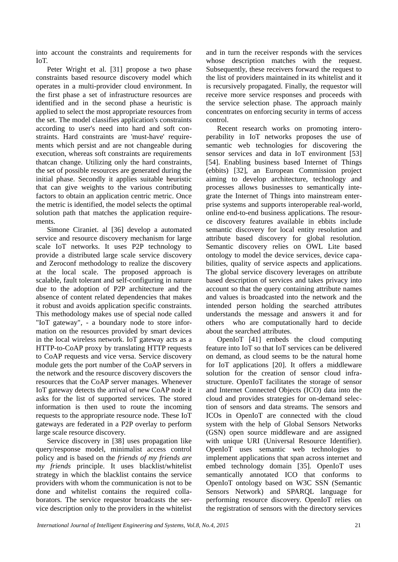into account the constraints and requirements for  $I_0$ T

Peter Wright et al. [31] propose a two phase constraints based resource discovery model which operates in a multi-provider cloud environment. In the first phase a set of infrastructure resources are identified and in the second phase a heuristic is applied to select the most appropriate resources from the set. The model classifies application's constraints according to user's need into hard and soft constraints. Hard constraints are 'must-have' requirements which persist and are not changeable during execution, whereas soft constraints are requirements thatcan change. Utilizing only the hard constraints, the set of possible resources are generated during the initial phase. Secondly it applies suitable heuristic that can give weights to the various contributing factors to obtain an application centric metric. Once the metric is identified, the model selects the optimal solution path that matches the application requirements.

Simone Ciraniet. al [36] develop a automated service and resource discovery mechanism for large scale IoT networks. It uses P2P technology to provide a distributed large scale service discovery and Zeroconf methodology to realize the discovery at the local scale. The proposed approach is scalable, fault tolerant and self-configuring in nature due to the adoption of P2P architecture and the absence of content related dependencies that makes it robust and avoids application specific constraints. This methodology makes use of special node called "IoT gateway", - a boundary node to store information on the resources provided by smart devices in the local wireless network. IoT gateway acts as a HTTP-to-CoAP proxy by translating HTTP requests to CoAP requests and vice versa. Service discovery module gets the port number of the CoAP servers in the network and the resource discovery discovers the resources that the CoAP server manages. Whenever IoT gateway detects the arrival of new CoAP node it asks for the list of supported services. The stored information is then used to route the incoming requests to the appropriate resource node. These IoT gateways are federated in a P2P overlay to perform large scale resource discovery.

Service discovery in [38] uses propagation like query/response model, minimalist access control policy and is based on the *friends of my friends are my friends* principle. It uses blacklist/whitelist strategy in which the blacklist contains the service providers with whom the communication is not to be done and whitelist contains the required collaborators. The service requestor broadcasts the service description only to the providers in the whitelist and in turn the receiver responds with the services whose description matches with the request. Subsequently, these receivers forward the request to the list of providers maintained in its whitelist and it is recursively propagated. Finally, the requestor will receive more service responses and proceeds with the service selection phase. The approach mainly concentrates on enforcing security in terms of access control.

Recent research works on promoting interoperability in IoT networks proposes the use of semantic web technologies for discovering the sensor services and data in IoT environment [53] [54]. Enabling business based Internet of Things (ebbits) [32], an European Commission project aiming to develop architecture, technology and processes allows businesses to semantically integrate the Internet of Things into mainstream enterprise systems and supports interoperable real-world, online end-to-end business applications. The resource discovery features available in ebbits include semantic discovery for local entity resolution and attribute based discovery for global resolution. Semantic discovery relies on OWL Lite based ontology to model the device services, device capabilities, quality of service aspects and applications. The global service discovery leverages on attribute based description of services and takes privacy into account so that the query containing attribute names and values is broadcasted into the network and the intended person holding the searched attributes understands the message and answers it and for others who are computationally hard to decide about the searched attributes.

OpenIoT [41] embeds the cloud computing feature into IoT so that IoT services can be delivered on demand, as cloud seems to be the natural home for IoT applications [20]. It offers a middleware solution for the creation of sensor cloud infrastructure. OpenIoT facilitates the storage of sensor and Internet Connected Objects (ICO) data into the cloud and provides strategies for on-demand selection of sensors and data streams. The sensors and ICOs in OpenIoT are connected with the cloud system with the help of Global Sensors Networks (GSN) open source middleware and are assigned with unique URI (Universal Resource Identifier). OpenIoT uses semantic web technologies to implement applications that span across internet and embed technology domain [35]. OpenIoT uses semantically annotated ICO that conforms to OpenIoT ontology based on W3C SSN (Semantic Sensors Network) and SPARQL language for performing resource discovery. OpenIoT relies on the registration of sensors with the directory services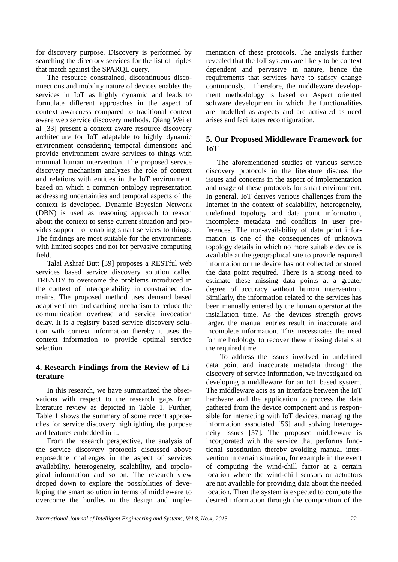for discovery purpose. Discovery is performed by searching the directory services for the list of triples that match against the SPARQL query.

The resource constrained, discontinuous disconnections and mobility nature of devices enables the services in IoT as highly dynamic and leads to formulate different approaches in the aspect of context awareness compared to traditional context aware web service discovery methods. Qiang Wei et al [33] present a context aware resource discovery architecture for IoT adaptable to highly dynamic environment considering temporal dimensions and provide environment aware services to things with minimal human intervention. The proposed service discovery mechanism analyzes the role of context and relations with entities in the IoT environment, based on which a common ontology representation addressing uncertainties and temporal aspects of the context is developed. Dynamic Bayesian Network (DBN) is used as reasoning approach to reason about the context to sense current situation and provides support for enabling smart services to things. The findings are most suitable for the environments with limited scopes and not for pervasive computing field.

Talal Ashraf Butt [39] proposes a RESTful web services based service discovery solution called TRENDY to overcome the problems introduced in the context of interoperability in constrained domains. The proposed method uses demand based adaptive timer and caching mechanism to reduce the communication overhead and service invocation delay. It is a registry based service discovery solution with context information thereby it uses the context information to provide optimal service selection.

# **4. Research Findings from the Review of Literature**

In this research, we have summarized the observations with respect to the research gaps from literature review as depicted in Table 1. Further, Table 1 shows the summary of some recent approaches for service discovery highlighting the purpose and features embedded in it.

From the research perspective, the analysis of the service discovery protocols discussed above exposedthe challenges in the aspect of services availability, heterogeneity, scalability, and topological information and so on. The research view droped down to explore the possibilities of developing the smart solution in terms of middleware to overcome the hurdles in the design and implementation of these protocols. The analysis further revealed that the IoT systems are likely to be context dependent and pervasive in nature, hence the requirements that services have to satisfy change continuously. Therefore, the middleware development methodology is based on Aspect oriented software development in which the functionalities are modelled as aspects and are activated as need arises and facilitates reconfiguration.

# **5. Our Proposed Middleware Framework for IoT**

The aforementioned studies of various service discovery protocols in the literature discuss the issues and concerns in the aspect of implementation and usage of these protocols for smart environment. In general, IoT derives various challenges from the Internet in the context of scalability, heterogeneity, undefined topology and data point information, incomplete metadata and conflicts in user preferences. The non-availability of data point information is one of the consequences of unknown topology details in which no more suitable device is available at the geographical site to provide required information or the device has not collected or stored the data point required. There is a strong need to estimate these missing data points at a greater degree of accuracy without human intervention. Similarly, the information related to the services has been manually entered by the human operator at the installation time. As the devices strength grows larger, the manual entries result in inaccurate and incomplete information. This necessitates the need for methodology to recover these missing details at the required time.

To address the issues involved in undefined data point and inaccurate metadata through the discovery of service information, we investigated on developing a middleware for an IoT based system. The middleware acts as an interface between the IoT hardware and the application to process the data gathered from the device component and is responsible for interacting with IoT devices, managing the information associated [56] and solving heterogeneity issues [57]. The proposed middleware is incorporated with the service that performs functional substitution thereby avoiding manual intervention in certain situation, for example in the event of computing the wind-chill factor at a certain location where the wind-chill sensors or actuators are not available for providing data about the needed location. Then the system is expected to compute the desired information through the composition of the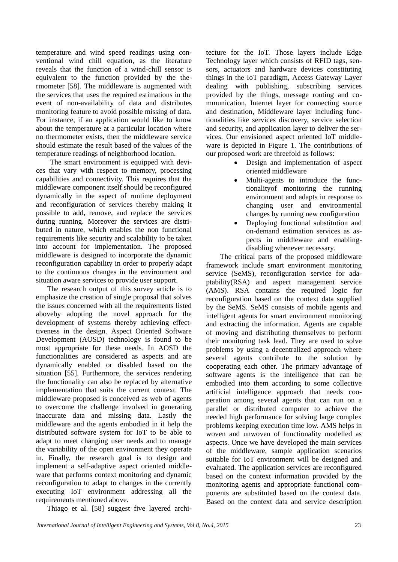temperature and wind speed readings using conventional wind chill equation, as the literature reveals that the function of a wind-chill sensor is equivalent to the function provided by the thermometer [58]. The middleware is augmented with the services that uses the required estimations in the event of non-availability of data and distributes monitoring feature to avoid possible missing of data. For instance, if an application would like to know about the temperature at a particular location where no thermometer exists, then the middleware service should estimate the result based of the values of the temperature readings of neighborhood location.

The smart environment is equipped with devices that vary with respect to memory, processing capabilities and connectivity. This requires that the middleware component itself should be reconfigured dynamically in the aspect of runtime deployment and reconfiguration of services thereby making it possible to add, remove, and replace the services during running. Moreover the services are distributed in nature, which enables the non functional requirements like security and scalability to be taken into account for implementation. The proposed middleware is designed to incorporate the dynamic reconfiguration capability in order to properly adapt to the continuous changes in the environment and situation aware services to provide user support.

The research output of this survey article is to emphasize the creation of single proposal that solves the issues concerned with all the requirements listed aboveby adopting the novel approach for the development of systems thereby achieving effecttiveness in the design. Aspect Oriented Software Development (AOSD) technology is found to be most appropriate for these needs. In AOSD the functionalities are considered as aspects and are dynamically enabled or disabled based on the situation [55]. Furthermore, the services rendering the functionality can also be replaced by alternative implementation that suits the current context. The middleware proposed is conceived as web of agents to overcome the challenge involved in generating inaccurate data and missing data. Lastly the middleware and the agents embodied in it help the distributed software system for IoT to be able to adapt to meet changing user needs and to manage the variability of the open environment they operate in. Finally, the research goal is to design and implement a self-adaptive aspect oriented middleware that performs context monitoring and dynamic reconfiguration to adapt to changes in the currently executing IoT environment addressing all the requirements mentioned above.

Thiago et al. [58] suggest five layered archi-

tecture for the IoT. Those layers include Edge Technology layer which consists of RFID tags, sensors, actuators and hardware devices constituting things in the IoT paradigm, Access Gateway Layer dealing with publishing, subscribing services provided by the things, message routing and communication, Internet layer for connecting source and destination, Middleware layer including functionalities like services discovery, service selection and security, and application layer to deliver the services. Our envisioned aspect oriented IoT middleware is depicted in Figure 1. The contributions of our proposed work are threefold as follows:

- Design and implementation of aspect oriented middleware
- Multi-agents to introduce the functionalityof monitoring the running environment and adapts in response to changing user and environmental changes by running new configuration
- Deploying functional substitution and on-demand estimation services as aspects in middleware and enablingdisabling whenever necessary.

The critical parts of the proposed middleware framework include smart environment monitoring service (SeMS), reconfiguration service for adaptability(RSA) and aspect management service (AMS). RSA contains the required logic for reconfiguration based on the context data supplied by the SeMS. SeMS consists of mobile agents and intelligent agents for smart environment monitoring and extracting the information. Agents are capable of moving and distributing themselves to perform their monitoring task lead. They are used to solve problems by using a decentralized approach where several agents contribute to the solution by cooperating each other. The primary advantage of software agents is the intelligence that can be embodied into them according to some collective artificial intelligence approach that needs cooperation among several agents that can run on a parallel or distributed computer to achieve the needed high performance for solving large complex problems keeping execution time low. AMS helps in woven and unwoven of functionality modelled as aspects. Once we have developed the main services of the middleware, sample application scenarios suitable for IoT environment will be designed and evaluated. The application services are reconfigured based on the context information provided by the monitoring agents and appropriate functional components are substituted based on the context data. Based on the context data and service description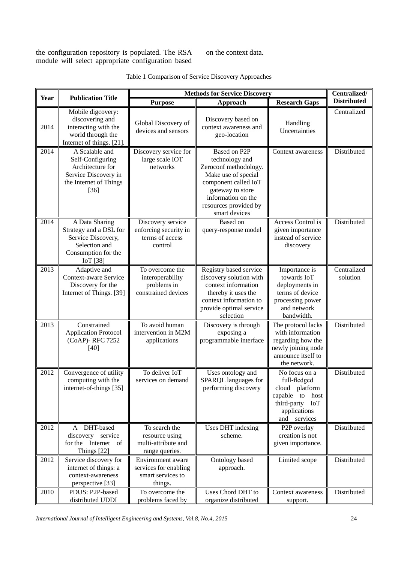the configuration repository is populated. The RSA module will select appropriate configuration based on the context data.

| Table 1 Comparison of Service Discovery Approaches |  |
|----------------------------------------------------|--|
|----------------------------------------------------|--|

|             | <b>Publication Title</b>                                                                                           | <b>Methods for Service Discovery</b>                                       |                                                                                                                                                                                            |                                                                                                                                | Centralized/            |
|-------------|--------------------------------------------------------------------------------------------------------------------|----------------------------------------------------------------------------|--------------------------------------------------------------------------------------------------------------------------------------------------------------------------------------------|--------------------------------------------------------------------------------------------------------------------------------|-------------------------|
| <b>Year</b> |                                                                                                                    | <b>Purpose</b>                                                             | <b>Approach</b>                                                                                                                                                                            | <b>Research Gaps</b>                                                                                                           | <b>Distributed</b>      |
| 2014        | Mobile digcovery:<br>discovering and<br>interacting with the<br>world through the<br>Internet of things. [21].     | Global Discovery of<br>devices and sensors                                 | Discovery based on<br>context awareness and<br>geo-location                                                                                                                                | Handling<br>Uncertainties                                                                                                      | Centralized             |
| 2014        | A Scalable and<br>Self-Configuring<br>Architecture for<br>Service Discovery in<br>the Internet of Things<br>$[36]$ | Discovery service for<br>large scale IOT<br>networks                       | Based on P2P<br>technology and<br>Zeroconf methodology.<br>Make use of special<br>component called IoT<br>gateway to store<br>information on the<br>resources provided by<br>smart devices | Context awareness                                                                                                              | Distributed             |
| 2014        | A Data Sharing<br>Strategy and a DSL for<br>Service Discovery,<br>Selection and<br>Consumption for the<br>IoT [38] | Discovery service<br>enforcing security in<br>terms of access<br>control   | Based on<br>query-response model                                                                                                                                                           | Access Control is<br>given importance<br>instead of service<br>discovery                                                       | Distributed             |
| 2013        | Adaptive and<br>Context-aware Service<br>Discovery for the<br>Internet of Things. [39]                             | To overcome the<br>interoperability<br>problems in<br>constrained devices  | Registry based service<br>discovery solution with<br>context information<br>thereby it uses the<br>context information to<br>provide optimal service<br>selection                          | Importance is<br>towards IoT<br>deployments in<br>terms of device<br>processing power<br>and network<br>bandwidth.             | Centralized<br>solution |
| 2013        | Constrained<br><b>Application Protocol</b><br>(CoAP)-RFC 7252<br>$[40]$                                            | To avoid human<br>intervention in M2M<br>applications                      | Discovery is through<br>exposing a<br>programmable interface                                                                                                                               | The protocol lacks<br>with information<br>regarding how the<br>newly joining node<br>announce itself to<br>the network.        | Distributed             |
| 2012        | Convergence of utility<br>computing with the<br>internet-of-things [35]                                            | To deliver IoT<br>services on demand                                       | Uses ontology and<br>SPARQL languages for<br>performing discovery                                                                                                                          | No focus on a<br>full-fledged<br>cloud platform<br>capable<br>to<br>host<br>third-party<br>IoT<br>applications<br>and services | Distributed             |
| 2012        | DHT-based<br>A<br>discovery service<br>for the Internet of<br>Things [22]                                          | To search the<br>resource using<br>multi-attribute and<br>range queries.   | Uses DHT indexing<br>scheme.                                                                                                                                                               | P <sub>2</sub> P overlay<br>creation is not<br>given importance.                                                               | Distributed             |
| 2012        | Service discovery for<br>internet of things: a<br>context-awareness<br>perspective [33]                            | Environment aware<br>services for enabling<br>smart services to<br>things. | Ontology based<br>approach.                                                                                                                                                                | Limited scope                                                                                                                  | Distributed             |
| 2010        | PDUS: P2P-based<br>distributed UDDI                                                                                | To overcome the<br>problems faced by                                       | Uses Chord DHT to<br>organize distributed                                                                                                                                                  | Context awareness<br>support.                                                                                                  | Distributed             |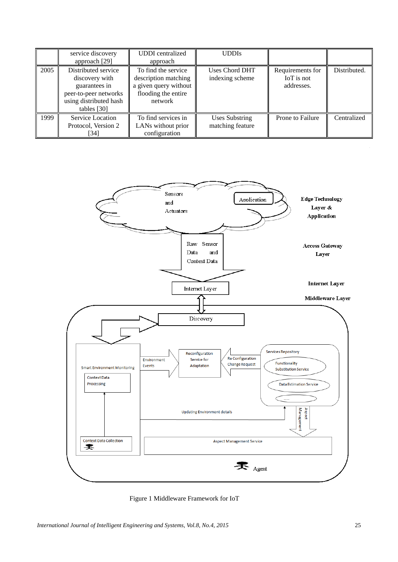|      | service discovery<br>approach [29]                                                                                         | <b>UDDI</b> centralized<br>approach                                                                    | <b>UDDIs</b>                              |                                              |              |
|------|----------------------------------------------------------------------------------------------------------------------------|--------------------------------------------------------------------------------------------------------|-------------------------------------------|----------------------------------------------|--------------|
| 2005 | Distributed service<br>discovery with<br>guarantees in<br>peer-to-peer networks<br>using distributed hash<br>tables $[30]$ | To find the service<br>description matching<br>a given query without<br>flooding the entire<br>network | <b>Uses Chord DHT</b><br>indexing scheme  | Requirements for<br>IoT is not<br>addresses. | Distributed. |
| 1999 | Service Location<br>Protocol, Version 2<br>[34]                                                                            | To find services in<br>LANs without prior<br>configuration                                             | <b>Uses Substring</b><br>matching feature | Prone to Failure                             | Centralized  |



Figure 1 Middleware Framework for IoT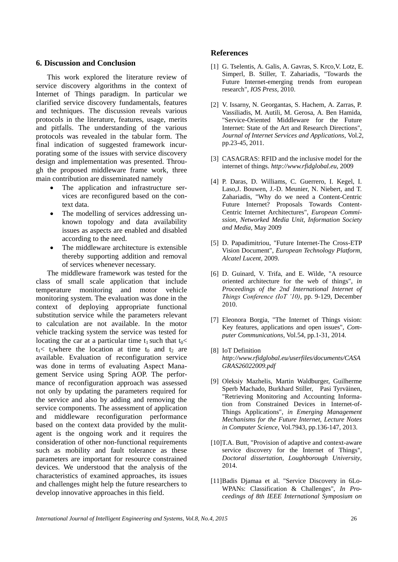#### **6. Discussion and Conclusion**

This work explored the literature review of service discovery algorithms in the context of Internet of Things paradigm. In particular we clarified service discovery fundamentals, features and techniques. The discussion reveals various protocols in the literature, features, usage, merits and pitfalls. The understanding of the various protocols was revealed in the tabular form. The final indication of suggested framework incurporating some of the issues with service discovery design and implementation was presented. Through the proposed middleware frame work, three main contribution are disseminated namely

- The application and infrastructure services are reconfigured based on the context data.
- The modelling of services addressing unknown topology and data availability issues as aspects are enabled and disabled according to the need.
- The middleware architecture is extensible thereby supporting addition and removal of services whenever necessary.

The middleware framework was tested for the class of small scale application that include temperature monitoring and motor vehicle monitoring system. The evaluation was done in the context of deploying appropriate functional substitution service while the parameters relevant to calculation are not available. In the motor vehicle tracking system the service was tested for locating the car at a particular time  $t_1$  such that  $t_0$  $t_1$ < t<sub>2</sub>where the location at time t<sub>0</sub> and t<sub>2</sub> are available. Evaluation of reconfiguration service was done in terms of evaluating Aspect Management Service using Spring AOP. The performance of reconfiguration approach was assessed not only by updating the parameters required for the service and also by adding and removing the service components. The assessment of application and middleware reconfiguration performance based on the context data provided by the mulitagent is the ongoing work and it requires the consideration of other non-functional requirements such as mobility and fault tolerance as these parameters are important for resource constrained devices. We understood that the analysis of the characteristics of examined approaches, its issues and challenges might help the future researchers to develop innovative approaches in this field.

## **References**

- [1] G. Tselentis, A. Galis, A. Gavras, S. Krco,V. Lotz, E. Simperl, B. Stiller, T. Zahariadis, "Towards the Future Internet-emerging trends from european research", *IOS Press*, 2010.
- [2] V. Issarny, N. Georgantas, S. Hachem, A. Zarras, P. Vassiliadis, M. Autili, M. Gerosa, A. Ben Hamida, "Service-Oriented Middleware for the Future Internet: State of the Art and Research Directions", *Journal of Internet Services and Applications*, Vol.2, pp.23-45, 2011.
- [3] CASAGRAS: RFID and the inclusive model for the internet of things. *http://www.rfidglobal.eu*, 2009
- [4] P. Daras, D. Williams, C. Guerrero, I. Kegel, I. Laso,J. Bouwen, J.-D. Meunier, N. Niebert, and T. Zahariadis, "Why do we need a Content-Centric Future Internet? Proposals Towards Content-Centric Internet Architectures", *European Commission, Networked Media Unit, Information Society and Media*, May 2009
- [5] D. Papadimitriou, "Future Internet-The Cross-ETP Vision Document", *European Technology Platform, Alcatel Lucent*, 2009.
- [6] D. Guinard, V. Trifa, and E. Wilde, "A resource oriented architecture for the web of things", *in Proceedings of the 2nd International Internet of Things Conference (IoT '10)*, pp. 9-129, December 2010.
- [7] Eleonora Borgia, "The Internet of Things vision: Key features, applications and open issues", *Computer Communications,* Vol.54, pp.1-31, 2014.
- [8] IoT Definition *http://www.rfidglobal.eu/userfiles/documents/CASA GRAS26022009.pdf*
- [9] Oleksiy Mazhelis, Martin Waldburger, Guilherme Sperb Machado, Burkhard Stiller, Pasi Tyrvänen, "Retrieving Monitoring and Accounting Information from Constrained Devices in Internet-of-Things Applications", *in Emerging Management Mechanisms for the Future Internet, Lecture Notes in Computer Science,* Vol.7943, pp.136-147, 2013.
- [10]T.A. Butt, "Provision of adaptive and context-aware service discovery for the Internet of Things", *Doctoral dissertation, Loughborough University*, 2014.
- [11]Badis Djamaa et al. "Service Discovery in 6Lo-WPANs: Classification & Challenges", *In Proceedings of 8th IEEE International Symposium on*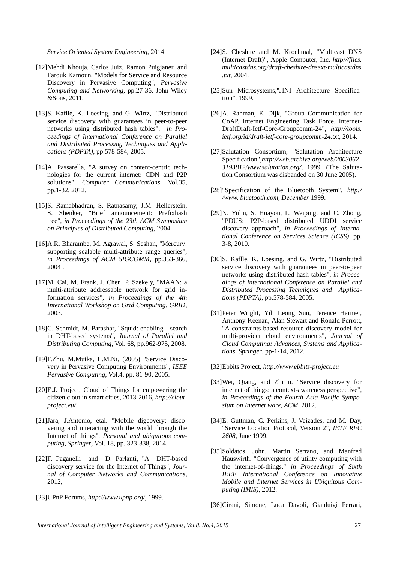*Service Oriented System Engineering*, 2014

- [12]Mehdi Khouja, Carlos Juiz, Ramon Puigjaner, and Farouk Kamoun, "Models for Service and Resource Discovery in Pervasive Computing", *Pervasive Computing and Networking*, pp.27-36, John Wiley &Sons, 2011.
- [13]S. Kaflle, K. Loesing, and G. Wirtz, "Distributed service discovery with guarantees in peer-to-peer networks using distributed hash tables", *in Proceedings of International Conference on Parallel and Distributed Processing Techniques and Applications (PDPTA)*, pp.578-584, 2005.
- [14]A. Passarella, "A survey on content-centric technologies for the current internet: CDN and P2P solutions", *Computer Communications*, Vol.35, pp.1-32, 2012.
- [15]S. Ramabhadran, S. Ratnasamy, J.M. Hellerstein, S. Shenker, "Brief announcement: Prefixhash tree", *in Proceedings of the 23th ACM Symposium on Principles of Distributed Computing*, 2004.
- [16]A.R. Bharambe, M. Agrawal, S. Seshan, "Mercury: supporting scalable multi-attribute range queries", *in Proceedings of ACM SIGCOMM*, pp.353-366, 2004 .
- [17]M. Cai, M. Frank, J. Chen, P. Szekely, "MAAN: a multi-attribute addressable network for grid information services", *in Proceedings of the 4th International Workshop on Grid Computing, GRID*, 2003.
- [18]C. Schmidt, M. Parashar, "Squid: enabling search in DHT-based systems", *Journal of Parallel and Distributing Computing*, Vol. 68, pp.962-975, 2008.
- [19]F.Zhu, M.Mutka, L.M.Ni, (2005) "Service Discovery in Pervasive Computing Environments", *IEEE Pervasive Computing*, Vol.4, pp. 81-90, 2005.
- [20]E.J. Project, Cloud of Things for empowering the citizen clout in smart cities, 2013-2016, *http://cloutproject.eu/*.
- [21]Jara, J.Antonio, etal. "Mobile digcovery: discovering and interacting with the world through the Internet of things", *Personal and ubiquitous computing, Springer*, Vol. 18, pp. 323-338, 2014.
- [22]F. Paganelli and D. Parlanti, "A DHT-based discovery service for the Internet of Things", *Journal of Computer Networks and Communications*, 2012,
- [23]UPnP Forums, *http://www.upnp.org/*, 1999.
- [24]S. Cheshire and M. Krochmal, "Multicast DNS (Internet Draft)", Apple Computer, Inc. *http://files. multicastdns.org/draft-cheshire-dnsext-multicastdns .txt*, 2004.
- [25]Sun Microsystems,"JINI Architecture Specification", 1999.
- [26]A. Rahman, E. Dijk, "Group Communication for CoAP. Internet Engineering Task Force, Internet-DraftDraft-Ietf-Core-Groupcomm-24", *http://tools. ietf.org/id/draft-ietf-core-groupcomm-24.txt*, 2014.
- [27]Salutation Consortium, "Salutation Architecture Specification",*http://web.archive.org/web/2003062 3193812/www.salutation.org/*, 1999. (The Salutation Consortium was disbanded on 30 June 2005).
- [28]"Specification of the Bluetooth System", *http:/ /www. bluetooth.com, December* 1999.
- [29]N. Yulin, S. Huayou, L. Weiping, and C. Zhong, "PDUS: P2P-based distributed UDDI service discovery approach", *in Proceedings of International Conference on Services Science (ICSS)*, pp. 3-8, 2010.
- [30]S. Kaflle, K. Loesing, and G. Wirtz, "Distributed service discovery with guarantees in peer-to-peer networks using distributed hash tables", *in Proceedings of International Conference on Parallel and Distributed Processing Techniques and Applications (PDPTA)*, pp.578-584, 2005.
- [31]Peter Wright, Yih Leong Sun, Terence Harmer, Anthony Keenan, Alan Stewart and Ronald Perrott, "A constraints-based resource discovery model for multi-provider cloud environments", *Journal of Cloud Computing: Advances, Systems and Applications, Springer*, pp-1-14, 2012.

[32]Ebbits Project, *http://www.ebbits-project.eu*

- [33]Wei, Qiang, and ZhiJin. "Service discovery for internet of things: a context-awareness perspective", *in Proceedings of the Fourth Asia-Pacific Symposium on Internet ware, ACM*, 2012.
- [34]E. Guttman, C. Perkins, J. Veizades, and M. Day, "Service Location Protocol, Version 2", *IETF RFC 2608*, June 1999.
- [35]Soldatos, John, Martin Serrano, and Manfred Hauswirth. "Convergence of utility computing with the internet-of-things." *in Proceedings of Sixth IEEE International Conference on Innovative Mobile and Internet Services in Ubiquitous Computing (IMIS)*, 2012.

[36]Cirani, Simone, Luca Davoli, Gianluigi Ferrari,